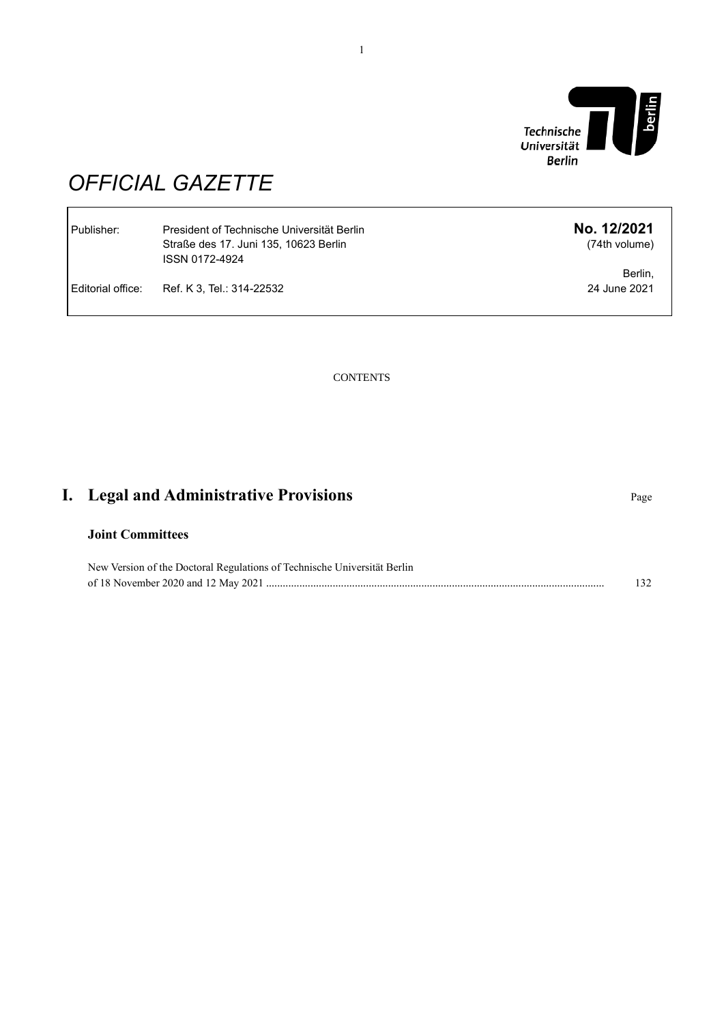

Publisher: President of Technische Universität Berlin **No. 12/2021** (74th volume)

> Berlin, 24 June 2021

# *OFFICIAL GAZETTE*

| Publisher:          | President of Technische Universität Berlin<br>Straße des 17. Juni 135. 10623 Berlin<br>ISSN 0172-4924 |
|---------------------|-------------------------------------------------------------------------------------------------------|
| l Editorial office: | Ref. K 3. Tel.: 314-22532                                                                             |

**CONTENTS** 

# **I.** Legal and Administrative Provisions **Page**

## **Joint Committees**

New Version of the Doctoral Regulations of Technische Universität Berlin of 18 November 2020 and 12 May 2021 .......................................................................................................................... 132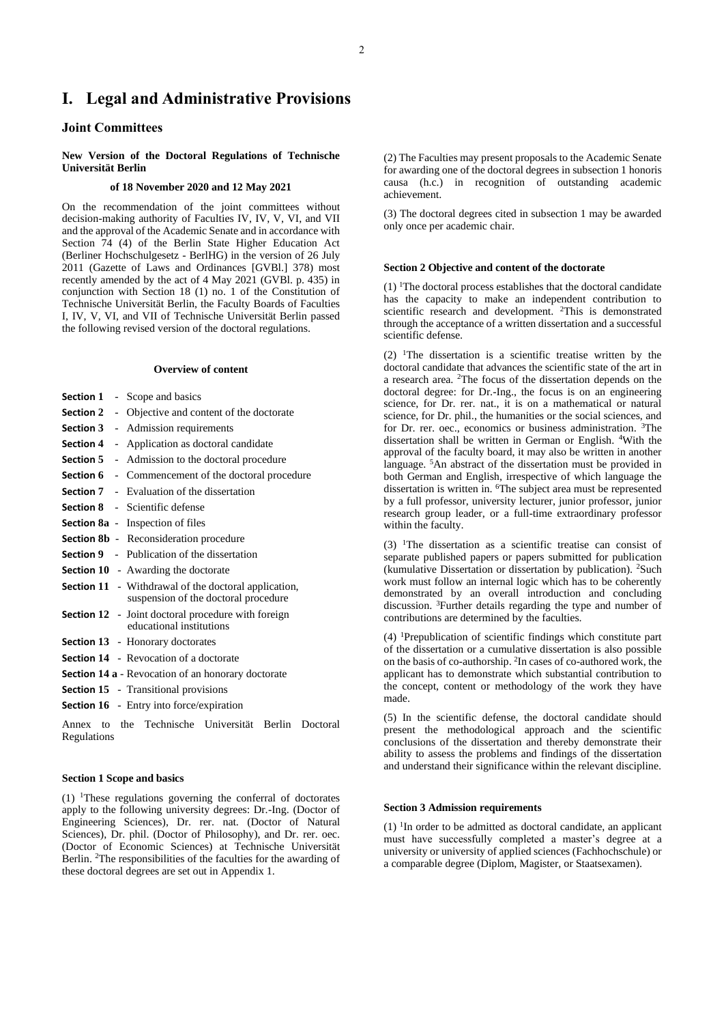# **I. Legal and Administrative Provisions**

### **Joint Committees**

#### **New Version of the Doctoral Regulations of Technische Universität Berlin**

#### **of 18 November 2020 and 12 May 2021**

On the recommendation of the joint committees without decision-making authority of Faculties IV, IV, V, VI, and VII and the approval of the Academic Senate and in accordance with Section 74 (4) of the Berlin State Higher Education Act (Berliner Hochschulgesetz - BerlHG) in the version of 26 July 2011 (Gazette of Laws and Ordinances [GVBl.] 378) most recently amended by the act of 4 May 2021 (GVBl. p. 435) in conjunction with Section 18 (1) no. 1 of the Constitution of Technische Universität Berlin, the Faculty Boards of Faculties I, IV, V, VI, and VII of Technische Universität Berlin passed the following revised version of the doctoral regulations.

#### **Overview of content**

|  | <b>Section 1</b> - Scope and basics                                                                 |
|--|-----------------------------------------------------------------------------------------------------|
|  | <b>Section 2</b> - Objective and content of the doctorate                                           |
|  | <b>Section 3</b> - Admission requirements                                                           |
|  | <b>Section 4</b> - Application as doctoral candidate                                                |
|  | <b>Section 5</b> - Admission to the doctoral procedure                                              |
|  | <b>Section 6</b> - Commencement of the doctoral procedure                                           |
|  | <b>Section 7</b> - Evaluation of the dissertation                                                   |
|  | <b>Section 8</b> - Scientific defense                                                               |
|  | <b>Section 8a</b> - Inspection of files                                                             |
|  | <b>Section 8b</b> - Reconsideration procedure                                                       |
|  | <b>Section 9</b> - Publication of the dissertation                                                  |
|  | Section 10 - Awarding the doctorate                                                                 |
|  | <b>Section 11</b> - Withdrawal of the doctoral application,<br>suspension of the doctoral procedure |
|  | <b>Section 12</b> - Joint doctoral procedure with foreign<br>educational institutions               |
|  | <b>Section 13</b> - Honorary doctorates                                                             |
|  | Section 14 - Revocation of a doctorate                                                              |
|  | <b>Section 14 a</b> - Revocation of an honorary doctorate                                           |
|  | <b>Section 15</b> - Transitional provisions                                                         |
|  | Section 16 - Entry into force/expiration                                                            |

Annex to the Technische Universität Berlin Doctoral Regulations

#### **Section 1 Scope and basics**

(1) <sup>1</sup>These regulations governing the conferral of doctorates apply to the following university degrees: Dr.-Ing. (Doctor of Engineering Sciences), Dr. rer. nat. (Doctor of Natural Sciences), Dr. phil. (Doctor of Philosophy), and Dr. rer. oec. (Doctor of Economic Sciences) at Technische Universität Berlin. <sup>2</sup>The responsibilities of the faculties for the awarding of these doctoral degrees are set out in Appendix 1.

(2) The Faculties may present proposals to the Academic Senate for awarding one of the doctoral degrees in subsection 1 honoris causa (h.c.) in recognition of outstanding academic achievement.

(3) The doctoral degrees cited in subsection 1 may be awarded only once per academic chair.

### **Section 2 Objective and content of the doctorate**

(1) <sup>1</sup>The doctoral process establishes that the doctoral candidate has the capacity to make an independent contribution to scientific research and development. <sup>2</sup>This is demonstrated through the acceptance of a written dissertation and a successful scientific defense.

 $(2)$  <sup>1</sup>The dissertation is a scientific treatise written by the doctoral candidate that advances the scientific state of the art in a research area. <sup>2</sup>The focus of the dissertation depends on the doctoral degree: for Dr.-Ing., the focus is on an engineering science, for Dr. rer. nat., it is on a mathematical or natural science, for Dr. phil., the humanities or the social sciences, and for Dr. rer. oec., economics or business administration. <sup>3</sup>The dissertation shall be written in German or English. <sup>4</sup>With the approval of the faculty board, it may also be written in another language. <sup>5</sup>An abstract of the dissertation must be provided in both German and English, irrespective of which language the dissertation is written in. <sup>6</sup>The subject area must be represented by a full professor, university lecturer, junior professor, junior research group leader, or a full-time extraordinary professor within the faculty.

 $(3)$  <sup>1</sup>The dissertation as a scientific treatise can consist of separate published papers or papers submitted for publication (kumulative Dissertation or dissertation by publication). <sup>2</sup>Such work must follow an internal logic which has to be coherently demonstrated by an overall introduction and concluding discussion. <sup>3</sup>Further details regarding the type and number of contributions are determined by the faculties.

(4) <sup>1</sup>Prepublication of scientific findings which constitute part of the dissertation or a cumulative dissertation is also possible on the basis of co-authorship. <sup>2</sup> In cases of co-authored work, the applicant has to demonstrate which substantial contribution to the concept, content or methodology of the work they have made.

(5) In the scientific defense, the doctoral candidate should present the methodological approach and the scientific conclusions of the dissertation and thereby demonstrate their ability to assess the problems and findings of the dissertation and understand their significance within the relevant discipline.

#### **Section 3 Admission requirements**

 $(1)$  <sup>1</sup>In order to be admitted as doctoral candidate, an applicant must have successfully completed a master's degree at a university or university of applied sciences (Fachhochschule) or a comparable degree (Diplom, Magister, or Staatsexamen).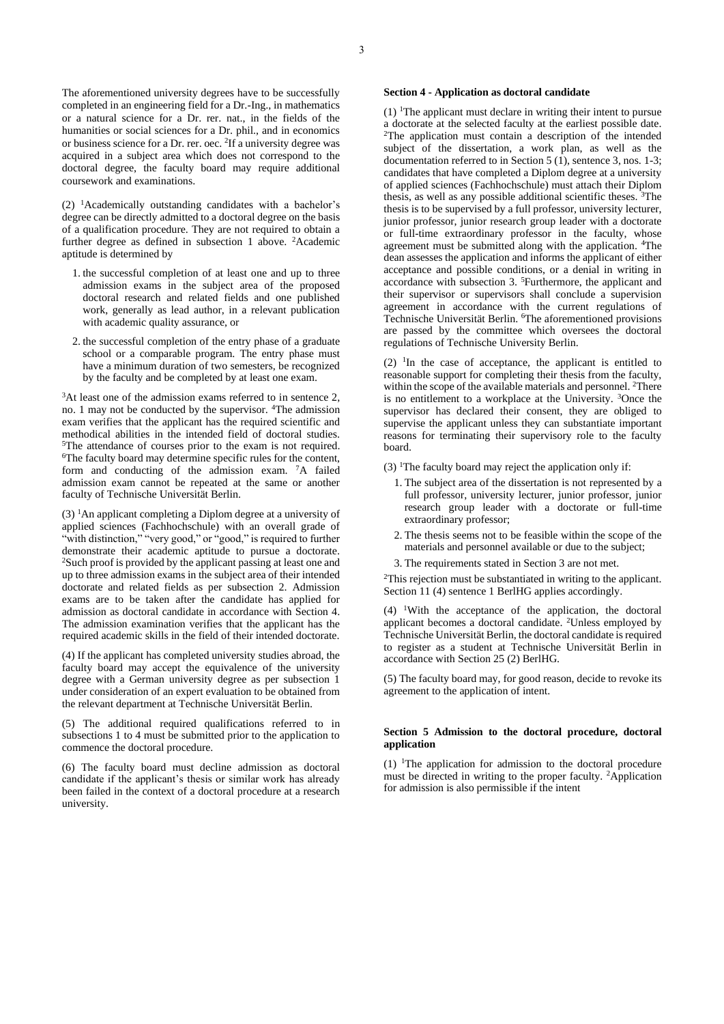The aforementioned university degrees have to be successfully completed in an engineering field for a Dr.-Ing., in mathematics or a natural science for a Dr. rer. nat., in the fields of the humanities or social sciences for a Dr. phil., and in economics or business science for a Dr. rer. oec. <sup>2</sup> If a university degree was acquired in a subject area which does not correspond to the doctoral degree, the faculty board may require additional coursework and examinations.

 $(2)$  <sup>1</sup>Academically outstanding candidates with a bachelor's degree can be directly admitted to a doctoral degree on the basis of a qualification procedure. They are not required to obtain a further degree as defined in subsection 1 above. <sup>2</sup>Academic aptitude is determined by

- 1. the successful completion of at least one and up to three admission exams in the subject area of the proposed doctoral research and related fields and one published work, generally as lead author, in a relevant publication with academic quality assurance, or
- 2. the successful completion of the entry phase of a graduate school or a comparable program. The entry phase must have a minimum duration of two semesters, be recognized by the faculty and be completed by at least one exam.

<sup>3</sup>At least one of the admission exams referred to in sentence 2, no. 1 may not be conducted by the supervisor. <sup>4</sup>The admission exam verifies that the applicant has the required scientific and methodical abilities in the intended field of doctoral studies. <sup>5</sup>The attendance of courses prior to the exam is not required. <sup>6</sup>The faculty board may determine specific rules for the content, form and conducting of the admission exam. <sup>7</sup>A failed admission exam cannot be repeated at the same or another faculty of Technische Universität Berlin.

 $(3)$  <sup>1</sup>An applicant completing a Diplom degree at a university of applied sciences (Fachhochschule) with an overall grade of "with distinction," "very good," or "good," is required to further demonstrate their academic aptitude to pursue a doctorate. <sup>2</sup>Such proof is provided by the applicant passing at least one and up to three admission exams in the subject area of their intended doctorate and related fields as per subsection 2. Admission exams are to be taken after the candidate has applied for admission as doctoral candidate in accordance with Section 4. The admission examination verifies that the applicant has the required academic skills in the field of their intended doctorate.

(4) If the applicant has completed university studies abroad, the faculty board may accept the equivalence of the university degree with a German university degree as per subsection 1 under consideration of an expert evaluation to be obtained from the relevant department at Technische Universität Berlin.

(5) The additional required qualifications referred to in subsections 1 to 4 must be submitted prior to the application to commence the doctoral procedure.

(6) The faculty board must decline admission as doctoral candidate if the applicant's thesis or similar work has already been failed in the context of a doctoral procedure at a research university.

#### **Section 4 - Application as doctoral candidate**

(1) <sup>1</sup>The applicant must declare in writing their intent to pursue a doctorate at the selected faculty at the earliest possible date. <sup>2</sup>The application must contain a description of the intended subject of the dissertation, a work plan, as well as the documentation referred to in Section  $5(1)$ , sentence 3, nos. 1-3; candidates that have completed a Diplom degree at a university of applied sciences (Fachhochschule) must attach their Diplom thesis, as well as any possible additional scientific theses. <sup>3</sup>The thesis is to be supervised by a full professor, university lecturer, junior professor, junior research group leader with a doctorate or full-time extraordinary professor in the faculty, whose agreement must be submitted along with the application. <sup>4</sup>The dean assesses the application and informs the applicant of either acceptance and possible conditions, or a denial in writing in accordance with subsection 3. <sup>5</sup>Furthermore, the applicant and their supervisor or supervisors shall conclude a supervision agreement in accordance with the current regulations of Technische Universität Berlin. <sup>6</sup>The aforementioned provisions are passed by the committee which oversees the doctoral regulations of Technische University Berlin.

 $(2)$  <sup>1</sup>In the case of acceptance, the applicant is entitled to reasonable support for completing their thesis from the faculty, within the scope of the available materials and personnel. <sup>2</sup>There is no entitlement to a workplace at the University. <sup>3</sup>Once the supervisor has declared their consent, they are obliged to supervise the applicant unless they can substantiate important reasons for terminating their supervisory role to the faculty board.

(3) <sup>1</sup>The faculty board may reject the application only if:

- 1. The subject area of the dissertation is not represented by a full professor, university lecturer, junior professor, junior research group leader with a doctorate or full-time extraordinary professor;
- 2. The thesis seems not to be feasible within the scope of the materials and personnel available or due to the subject;
- 3. The requirements stated in Section 3 are not met.

<sup>2</sup>This rejection must be substantiated in writing to the applicant. Section 11 (4) sentence 1 BerlHG applies accordingly.

 $(4)$  <sup>1</sup>With the acceptance of the application, the doctoral applicant becomes a doctoral candidate. <sup>2</sup>Unless employed by Technische Universität Berlin, the doctoral candidate is required to register as a student at Technische Universität Berlin in accordance with Section 25 (2) BerlHG.

(5) The faculty board may, for good reason, decide to revoke its agreement to the application of intent.

#### **Section 5 Admission to the doctoral procedure, doctoral application**

 $(1)$  <sup>1</sup>The application for admission to the doctoral procedure must be directed in writing to the proper faculty. <sup>2</sup>Application for admission is also permissible if the intent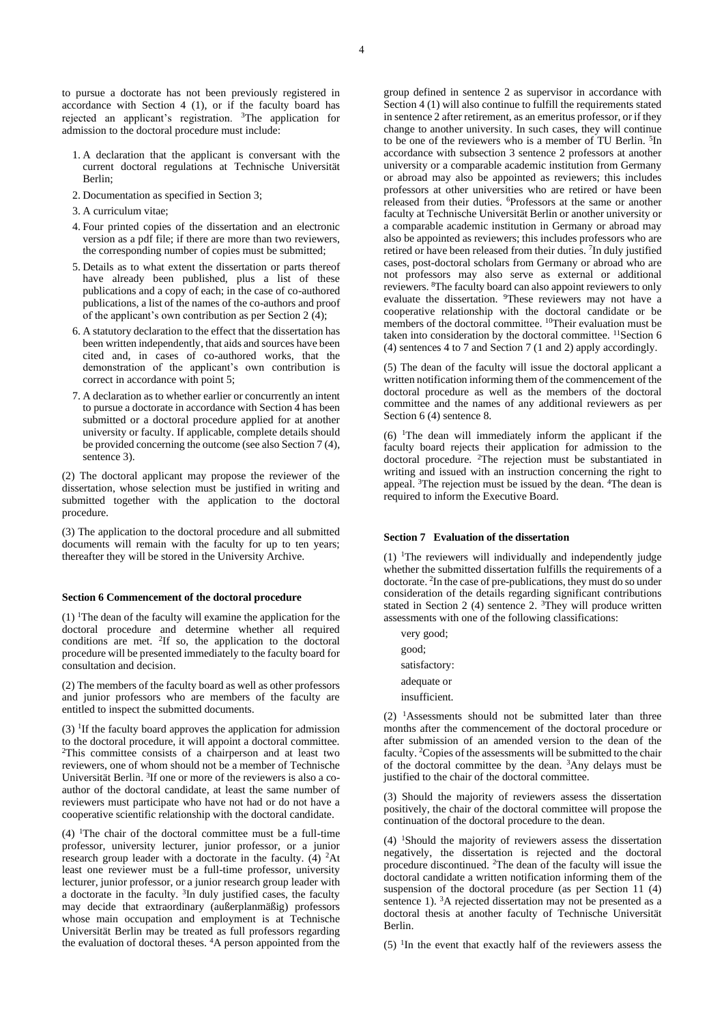to pursue a doctorate has not been previously registered in accordance with Section 4 (1), or if the faculty board has rejected an applicant's registration. <sup>3</sup>The application for admission to the doctoral procedure must include:

- 1. A declaration that the applicant is conversant with the current doctoral regulations at Technische Universität Berlin;
- 2. Documentation as specified in Section 3;
- 3. A curriculum vitae;
- 4. Four printed copies of the dissertation and an electronic version as a pdf file; if there are more than two reviewers, the corresponding number of copies must be submitted;
- 5. Details as to what extent the dissertation or parts thereof have already been published, plus a list of these publications and a copy of each; in the case of co-authored publications, a list of the names of the co-authors and proof of the applicant's own contribution as per Section 2  $(4)$ ;
- 6. A statutory declaration to the effect that the dissertation has been written independently, that aids and sources have been cited and, in cases of co-authored works, that the demonstration of the applicant's own contribution is correct in accordance with point 5;
- 7. A declaration as to whether earlier or concurrently an intent to pursue a doctorate in accordance with Section 4 has been submitted or a doctoral procedure applied for at another university or faculty. If applicable, complete details should be provided concerning the outcome (see also Section 7 (4), sentence 3).

(2) The doctoral applicant may propose the reviewer of the dissertation, whose selection must be justified in writing and submitted together with the application to the doctoral procedure.

(3) The application to the doctoral procedure and all submitted documents will remain with the faculty for up to ten years; thereafter they will be stored in the University Archive.

#### **Section 6 Commencement of the doctoral procedure**

 $(1)$  <sup>1</sup>The dean of the faculty will examine the application for the doctoral procedure and determine whether all required conditions are met. <sup>2</sup>If so, the application to the doctoral procedure will be presented immediately to the faculty board for consultation and decision.

(2) The members of the faculty board as well as other professors and junior professors who are members of the faculty are entitled to inspect the submitted documents.

 $(3)$  <sup>1</sup>If the faculty board approves the application for admission to the doctoral procedure, it will appoint a doctoral committee. <sup>2</sup>This committee consists of a chairperson and at least two reviewers, one of whom should not be a member of Technische Universität Berlin. <sup>3</sup>If one or more of the reviewers is also a coauthor of the doctoral candidate, at least the same number of reviewers must participate who have not had or do not have a cooperative scientific relationship with the doctoral candidate.

 $(4)$  <sup>1</sup>The chair of the doctoral committee must be a full-time professor, university lecturer, junior professor, or a junior research group leader with a doctorate in the faculty.  $(4)$  <sup>2</sup>At least one reviewer must be a full-time professor, university lecturer, junior professor, or a junior research group leader with a doctorate in the faculty.  $3$ In duly justified cases, the faculty may decide that extraordinary (außerplanmäßig) professors whose main occupation and employment is at Technische Universität Berlin may be treated as full professors regarding the evaluation of doctoral theses. <sup>4</sup>A person appointed from the

group defined in sentence 2 as supervisor in accordance with Section 4 (1) will also continue to fulfill the requirements stated in sentence 2 after retirement, as an emeritus professor, or if they change to another university. In such cases, they will continue to be one of the reviewers who is a member of TU Berlin.<sup>5</sup>In accordance with subsection 3 sentence 2 professors at another university or a comparable academic institution from Germany or abroad may also be appointed as reviewers; this includes professors at other universities who are retired or have been released from their duties. <sup>6</sup>Professors at the same or another faculty at Technische Universität Berlin or another university or a comparable academic institution in Germany or abroad may also be appointed as reviewers; this includes professors who are retired or have been released from their duties. <sup>7</sup>In duly justified cases, post-doctoral scholars from Germany or abroad who are not professors may also serve as external or additional reviewers. <sup>8</sup>The faculty board can also appoint reviewers to only evaluate the dissertation. <sup>9</sup>These reviewers may not have a cooperative relationship with the doctoral candidate or be members of the doctoral committee. <sup>10</sup>Their evaluation must be taken into consideration by the doctoral committee. <sup>11</sup>Section 6 (4) sentences 4 to 7 and Section 7 (1 and 2) apply accordingly.

(5) The dean of the faculty will issue the doctoral applicant a written notification informing them of the commencement of the doctoral procedure as well as the members of the doctoral committee and the names of any additional reviewers as per Section 6 (4) sentence 8.

 $(6)$  <sup>1</sup>The dean will immediately inform the applicant if the faculty board rejects their application for admission to the doctoral procedure. <sup>2</sup>The rejection must be substantiated in writing and issued with an instruction concerning the right to appeal. <sup>3</sup>The rejection must be issued by the dean. <sup>4</sup>The dean is required to inform the Executive Board.

#### **Section 7 Evaluation of the dissertation**

 $(1)$  <sup>1</sup>The reviewers will individually and independently judge whether the submitted dissertation fulfills the requirements of a doctorate. <sup>2</sup> In the case of pre-publications, they must do so under consideration of the details regarding significant contributions stated in Section 2 (4) sentence 2.  ${}^{3}$ They will produce written assessments with one of the following classifications:

very good; good; satisfactory: adequate or insufficient.

 $(2)$  <sup>1</sup>Assessments should not be submitted later than three months after the commencement of the doctoral procedure or after submission of an amended version to the dean of the faculty. <sup>2</sup>Copies of the assessments will be submitted to the chair of the doctoral committee by the dean. <sup>3</sup>Any delays must be justified to the chair of the doctoral committee.

(3) Should the majority of reviewers assess the dissertation positively, the chair of the doctoral committee will propose the continuation of the doctoral procedure to the dean.

(4) <sup>1</sup>Should the majority of reviewers assess the dissertation negatively, the dissertation is rejected and the doctoral procedure discontinued. <sup>2</sup>The dean of the faculty will issue the doctoral candidate a written notification informing them of the suspension of the doctoral procedure (as per Section 11 (4) sentence 1). <sup>3</sup>A rejected dissertation may not be presented as a doctoral thesis at another faculty of Technische Universität Berlin.

 $(5)$  <sup>1</sup>In the event that exactly half of the reviewers assess the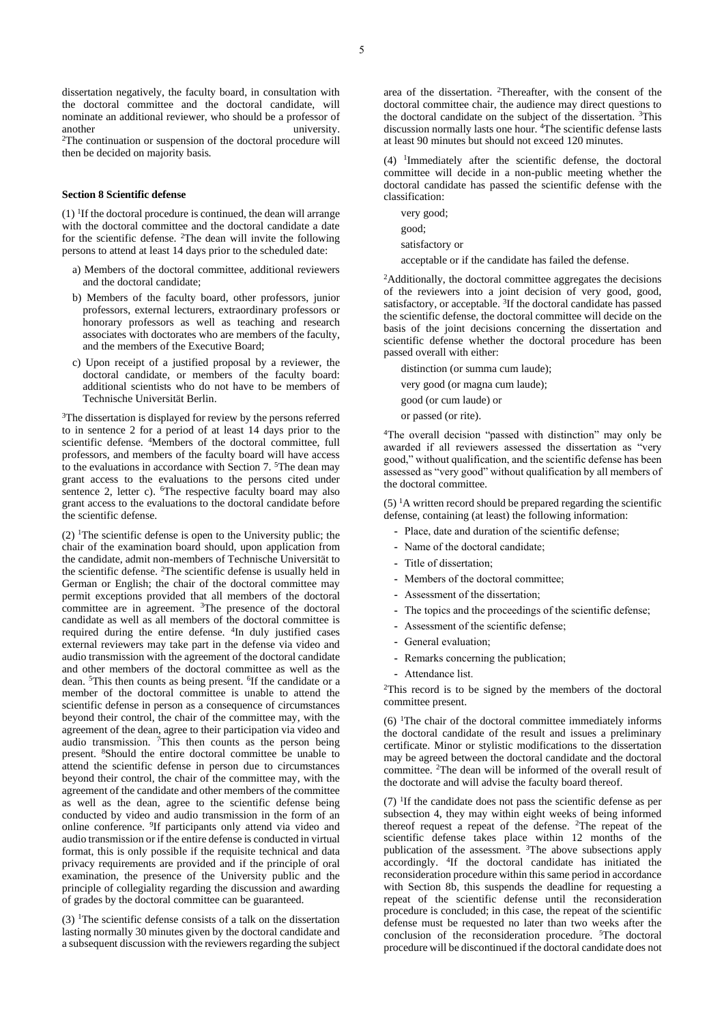<sup>2</sup>The continuation or suspension of the doctoral procedure will then be decided on majority basis.

#### **Section 8 Scientific defense**

 $(1)$  <sup>1</sup>If the doctoral procedure is continued, the dean will arrange with the doctoral committee and the doctoral candidate a date for the scientific defense. <sup>2</sup>The dean will invite the following persons to attend at least 14 days prior to the scheduled date:

- a) Members of the doctoral committee, additional reviewers and the doctoral candidate;
- b) Members of the faculty board, other professors, junior professors, external lecturers, extraordinary professors or honorary professors as well as teaching and research associates with doctorates who are members of the faculty, and the members of the Executive Board;
- c) Upon receipt of a justified proposal by a reviewer, the doctoral candidate, or members of the faculty board: additional scientists who do not have to be members of Technische Universität Berlin.

<sup>3</sup>The dissertation is displayed for review by the persons referred to in sentence 2 for a period of at least 14 days prior to the scientific defense. <sup>4</sup>Members of the doctoral committee, full professors, and members of the faculty board will have access to the evaluations in accordance with Section 7. <sup>5</sup>The dean may grant access to the evaluations to the persons cited under sentence 2, letter c). <sup>6</sup>The respective faculty board may also grant access to the evaluations to the doctoral candidate before the scientific defense.

(2) <sup>1</sup>The scientific defense is open to the University public; the chair of the examination board should, upon application from the candidate, admit non-members of Technische Universität to the scientific defense. <sup>2</sup>The scientific defense is usually held in German or English; the chair of the doctoral committee may permit exceptions provided that all members of the doctoral committee are in agreement. <sup>3</sup>The presence of the doctoral candidate as well as all members of the doctoral committee is required during the entire defense. <sup>4</sup>In duly justified cases external reviewers may take part in the defense via video and audio transmission with the agreement of the doctoral candidate and other members of the doctoral committee as well as the dean. <sup>5</sup>This then counts as being present. <sup>6</sup>If the candidate or a member of the doctoral committee is unable to attend the scientific defense in person as a consequence of circumstances beyond their control, the chair of the committee may, with the agreement of the dean, agree to their participation via video and audio transmission. <sup>7</sup>This then counts as the person being present. <sup>8</sup>Should the entire doctoral committee be unable to attend the scientific defense in person due to circumstances beyond their control, the chair of the committee may, with the agreement of the candidate and other members of the committee as well as the dean, agree to the scientific defense being conducted by video and audio transmission in the form of an online conference. <sup>9</sup> If participants only attend via video and audio transmission or if the entire defense is conducted in virtual format, this is only possible if the requisite technical and data privacy requirements are provided and if the principle of oral examination, the presence of the University public and the principle of collegiality regarding the discussion and awarding of grades by the doctoral committee can be guaranteed.

(3) <sup>1</sup>The scientific defense consists of a talk on the dissertation lasting normally 30 minutes given by the doctoral candidate and a subsequent discussion with the reviewers regarding the subject area of the dissertation. <sup>2</sup>Thereafter, with the consent of the doctoral committee chair, the audience may direct questions to the doctoral candidate on the subject of the dissertation. <sup>3</sup>This discussion normally lasts one hour. <sup>4</sup>The scientific defense lasts at least 90 minutes but should not exceed 120 minutes.

(4) <sup>1</sup> Immediately after the scientific defense, the doctoral committee will decide in a non-public meeting whether the doctoral candidate has passed the scientific defense with the classification:

very good; good;

satisfactory or

acceptable or if the candidate has failed the defense.

<sup>2</sup>Additionally, the doctoral committee aggregates the decisions of the reviewers into a joint decision of very good, good, satisfactory, or acceptable. <sup>3</sup>If the doctoral candidate has passed the scientific defense, the doctoral committee will decide on the basis of the joint decisions concerning the dissertation and scientific defense whether the doctoral procedure has been passed overall with either:

distinction (or summa cum laude);

very good (or magna cum laude);

good (or cum laude) or

or passed (or rite).

<sup>4</sup>The overall decision "passed with distinction" may only be awarded if all reviewers assessed the dissertation as "very good," without qualification, and the scientific defense has been assessed as "very good" without qualification by all members of the doctoral committee.

 $(5)$  <sup>1</sup>A written record should be prepared regarding the scientific defense, containing (at least) the following information:

- **-** Place, date and duration of the scientific defense;
- **-** Name of the doctoral candidate;
- **-** Title of dissertation;
- **-** Members of the doctoral committee;
- **-** Assessment of the dissertation;
- **-** The topics and the proceedings of the scientific defense;
- **-** Assessment of the scientific defense;
- **-** General evaluation;
- **-** Remarks concerning the publication;
- **-** Attendance list.

<sup>2</sup>This record is to be signed by the members of the doctoral committee present.

 $(6)$  <sup>1</sup>The chair of the doctoral committee immediately informs the doctoral candidate of the result and issues a preliminary certificate. Minor or stylistic modifications to the dissertation may be agreed between the doctoral candidate and the doctoral committee. <sup>2</sup>The dean will be informed of the overall result of the doctorate and will advise the faculty board thereof.

 $(7)$  <sup>1</sup>If the candidate does not pass the scientific defense as per subsection 4, they may within eight weeks of being informed thereof request a repeat of the defense. <sup>2</sup>The repeat of the scientific defense takes place within 12 months of the publication of the assessment. <sup>3</sup>The above subsections apply accordingly. <sup>4</sup> If the doctoral candidate has initiated the reconsideration procedure within this same period in accordance with Section 8b, this suspends the deadline for requesting a repeat of the scientific defense until the reconsideration procedure is concluded; in this case, the repeat of the scientific defense must be requested no later than two weeks after the conclusion of the reconsideration procedure. <sup>5</sup>The doctoral procedure will be discontinued if the doctoral candidate does not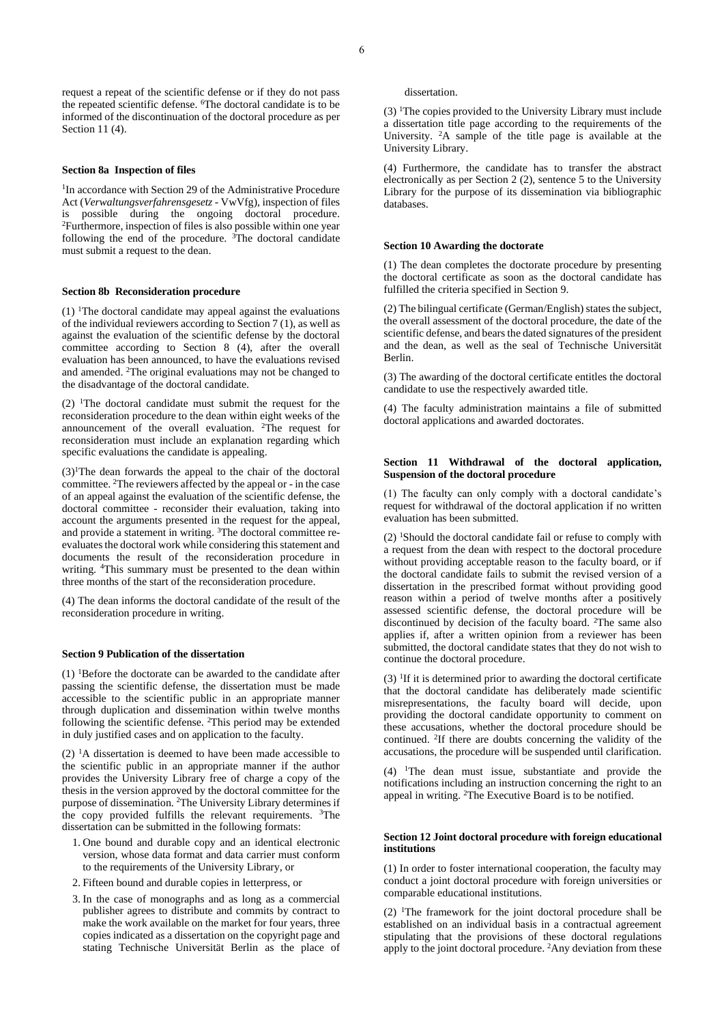request a repeat of the scientific defense or if they do not pass the repeated scientific defense. <sup>6</sup>The doctoral candidate is to be informed of the discontinuation of the doctoral procedure as per Section 11 (4).

#### **Section 8a Inspection of files**

<sup>1</sup>In accordance with Section 29 of the Administrative Procedure Act (*Verwaltungsverfahrensgesetz* - VwVfg), inspection of files is possible during the ongoing doctoral procedure. <sup>2</sup>Furthermore, inspection of files is also possible within one year following the end of the procedure.  $3$ The doctoral candidate must submit a request to the dean.

#### **Section 8b Reconsideration procedure**

(1) <sup>1</sup>The doctoral candidate may appeal against the evaluations of the individual reviewers according to Section 7 (1), as well as against the evaluation of the scientific defense by the doctoral committee according to Section 8 (4), after the overall evaluation has been announced, to have the evaluations revised and amended. <sup>2</sup>The original evaluations may not be changed to the disadvantage of the doctoral candidate.

(2) <sup>1</sup>The doctoral candidate must submit the request for the reconsideration procedure to the dean within eight weeks of the announcement of the overall evaluation. <sup>2</sup>The request for reconsideration must include an explanation regarding which specific evaluations the candidate is appealing.

 $(3)$ <sup>1</sup>The dean forwards the appeal to the chair of the doctoral committee. <sup>2</sup>The reviewers affected by the appeal or - in the case of an appeal against the evaluation of the scientific defense, the doctoral committee - reconsider their evaluation, taking into account the arguments presented in the request for the appeal, and provide a statement in writing. 3The doctoral committee reevaluates the doctoral work while considering this statement and documents the result of the reconsideration procedure in writing. <sup>4</sup>This summary must be presented to the dean within three months of the start of the reconsideration procedure.

(4) The dean informs the doctoral candidate of the result of the reconsideration procedure in writing.

#### **Section 9 Publication of the dissertation**

 $(1)$  <sup>1</sup>Before the doctorate can be awarded to the candidate after passing the scientific defense, the dissertation must be made accessible to the scientific public in an appropriate manner through duplication and dissemination within twelve months following the scientific defense. <sup>2</sup>This period may be extended in duly justified cases and on application to the faculty.

(2)  $\rm{^1A}$  dissertation is deemed to have been made accessible to the scientific public in an appropriate manner if the author provides the University Library free of charge a copy of the thesis in the version approved by the doctoral committee for the purpose of dissemination. <sup>2</sup>The University Library determines if the copy provided fulfills the relevant requirements. <sup>3</sup>The dissertation can be submitted in the following formats:

- 1. One bound and durable copy and an identical electronic version, whose data format and data carrier must conform to the requirements of the University Library, or
- 2. Fifteen bound and durable copies in letterpress, or
- 3. In the case of monographs and as long as a commercial publisher agrees to distribute and commits by contract to make the work available on the market for four years, three copies indicated as a dissertation on the copyright page and stating Technische Universität Berlin as the place of

dissertation.

 $(3)$  <sup>1</sup>The copies provided to the University Library must include a dissertation title page according to the requirements of the University. <sup>2</sup>A sample of the title page is available at the University Library.

(4) Furthermore, the candidate has to transfer the abstract electronically as per Section 2 (2), sentence 5 to the University Library for the purpose of its dissemination via bibliographic databases.

#### **Section 10 Awarding the doctorate**

(1) The dean completes the doctorate procedure by presenting the doctoral certificate as soon as the doctoral candidate has fulfilled the criteria specified in Section 9.

(2) The bilingual certificate (German/English) states the subject, the overall assessment of the doctoral procedure, the date of the scientific defense, and bears the dated signatures of the president and the dean, as well as the seal of Technische Universität Berlin.

(3) The awarding of the doctoral certificate entitles the doctoral candidate to use the respectively awarded title.

(4) The faculty administration maintains a file of submitted doctoral applications and awarded doctorates.

#### **Section 11 Withdrawal of the doctoral application, Suspension of the doctoral procedure**

(1) The faculty can only comply with a doctoral candidate's request for withdrawal of the doctoral application if no written evaluation has been submitted.

(2) <sup>1</sup>Should the doctoral candidate fail or refuse to comply with a request from the dean with respect to the doctoral procedure without providing acceptable reason to the faculty board, or if the doctoral candidate fails to submit the revised version of a dissertation in the prescribed format without providing good reason within a period of twelve months after a positively assessed scientific defense, the doctoral procedure will be discontinued by decision of the faculty board. <sup>2</sup>The same also applies if, after a written opinion from a reviewer has been submitted, the doctoral candidate states that they do not wish to continue the doctoral procedure.

 $(3)$  <sup>1</sup>If it is determined prior to awarding the doctoral certificate that the doctoral candidate has deliberately made scientific misrepresentations, the faculty board will decide, upon providing the doctoral candidate opportunity to comment on these accusations, whether the doctoral procedure should be continued. <sup>2</sup> If there are doubts concerning the validity of the accusations, the procedure will be suspended until clarification.

(4) <sup>1</sup>The dean must issue, substantiate and provide the notifications including an instruction concerning the right to an appeal in writing. <sup>2</sup>The Executive Board is to be notified.

#### **Section 12 Joint doctoral procedure with foreign educational institutions**

(1) In order to foster international cooperation, the faculty may conduct a joint doctoral procedure with foreign universities or comparable educational institutions.

(2)  $\text{I}$ The framework for the joint doctoral procedure shall be established on an individual basis in a contractual agreement stipulating that the provisions of these doctoral regulations apply to the joint doctoral procedure. 2Any deviation from these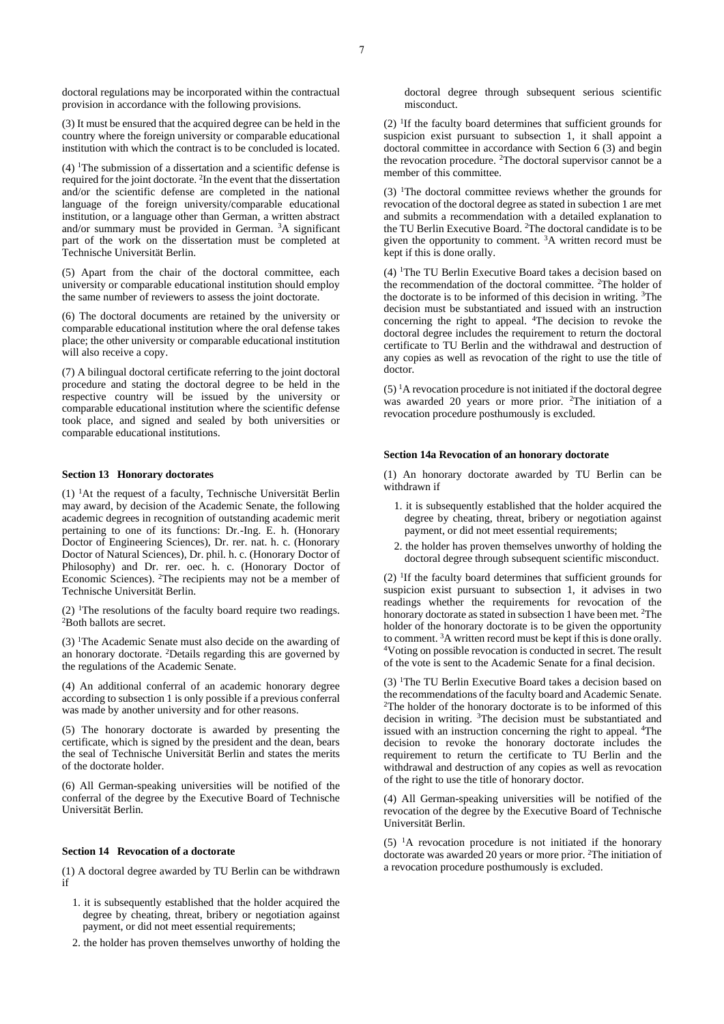doctoral regulations may be incorporated within the contractual provision in accordance with the following provisions.

(3) It must be ensured that the acquired degree can be held in the country where the foreign university or comparable educational institution with which the contract is to be concluded is located.

(4) <sup>1</sup>The submission of a dissertation and a scientific defense is required for the joint doctorate. <sup>2</sup>In the event that the dissertation and/or the scientific defense are completed in the national language of the foreign university/comparable educational institution, or a language other than German, a written abstract and/or summary must be provided in German. <sup>3</sup>A significant part of the work on the dissertation must be completed at Technische Universität Berlin.

(5) Apart from the chair of the doctoral committee, each university or comparable educational institution should employ the same number of reviewers to assess the joint doctorate.

(6) The doctoral documents are retained by the university or comparable educational institution where the oral defense takes place; the other university or comparable educational institution will also receive a copy.

(7) A bilingual doctoral certificate referring to the joint doctoral procedure and stating the doctoral degree to be held in the respective country will be issued by the university or comparable educational institution where the scientific defense took place, and signed and sealed by both universities or comparable educational institutions.

#### **Section 13 Honorary doctorates**

(1) <sup>1</sup>At the request of a faculty, Technische Universität Berlin may award, by decision of the Academic Senate, the following academic degrees in recognition of outstanding academic merit pertaining to one of its functions: Dr.-Ing. E. h. (Honorary Doctor of Engineering Sciences), Dr. rer. nat. h. c. (Honorary Doctor of Natural Sciences), Dr. phil. h. c. (Honorary Doctor of Philosophy) and Dr. rer. oec. h. c. (Honorary Doctor of Economic Sciences). <sup>2</sup>The recipients may not be a member of Technische Universität Berlin.

 $(2)$  <sup>1</sup>The resolutions of the faculty board require two readings. <sup>2</sup>Both ballots are secret.

(3) <sup>1</sup>The Academic Senate must also decide on the awarding of an honorary doctorate. <sup>2</sup>Details regarding this are governed by the regulations of the Academic Senate.

(4) An additional conferral of an academic honorary degree according to subsection 1 is only possible if a previous conferral was made by another university and for other reasons.

(5) The honorary doctorate is awarded by presenting the certificate, which is signed by the president and the dean, bears the seal of Technische Universität Berlin and states the merits of the doctorate holder.

(6) All German-speaking universities will be notified of the conferral of the degree by the Executive Board of Technische Universität Berlin.

#### **Section 14 Revocation of a doctorate**

(1) A doctoral degree awarded by TU Berlin can be withdrawn if

- 1. it is subsequently established that the holder acquired the degree by cheating, threat, bribery or negotiation against payment, or did not meet essential requirements;
- 2. the holder has proven themselves unworthy of holding the

(2) <sup>1</sup> If the faculty board determines that sufficient grounds for suspicion exist pursuant to subsection 1, it shall appoint a doctoral committee in accordance with Section 6 (3) and begin the revocation procedure. <sup>2</sup>The doctoral supervisor cannot be a member of this committee.

(3) <sup>1</sup>The doctoral committee reviews whether the grounds for revocation of the doctoral degree as stated in subection 1 are met and submits a recommendation with a detailed explanation to the TU Berlin Executive Board. <sup>2</sup>The doctoral candidate is to be given the opportunity to comment. <sup>3</sup>A written record must be kept if this is done orally.

(4) <sup>1</sup>The TU Berlin Executive Board takes a decision based on the recommendation of the doctoral committee. <sup>2</sup>The holder of the doctorate is to be informed of this decision in writing. <sup>3</sup>The decision must be substantiated and issued with an instruction concerning the right to appeal. <sup>4</sup>The decision to revoke the doctoral degree includes the requirement to return the doctoral certificate to TU Berlin and the withdrawal and destruction of any copies as well as revocation of the right to use the title of doctor.

 $(5)$  <sup>1</sup>A revocation procedure is not initiated if the doctoral degree was awarded 20 years or more prior. <sup>2</sup>The initiation of a revocation procedure posthumously is excluded.

#### **Section 14a Revocation of an honorary doctorate**

(1) An honorary doctorate awarded by TU Berlin can be withdrawn if

- 1. it is subsequently established that the holder acquired the degree by cheating, threat, bribery or negotiation against payment, or did not meet essential requirements;
- 2. the holder has proven themselves unworthy of holding the doctoral degree through subsequent scientific misconduct.

(2) <sup>1</sup> If the faculty board determines that sufficient grounds for suspicion exist pursuant to subsection 1, it advises in two readings whether the requirements for revocation of the honorary doctorate as stated in subsection 1 have been met. <sup>2</sup>The holder of the honorary doctorate is to be given the opportunity to comment. <sup>3</sup>A written record must be kept if this is done orally. <sup>4</sup>Voting on possible revocation is conducted in secret. The result of the vote is sent to the Academic Senate for a final decision.

(3) <sup>1</sup>The TU Berlin Executive Board takes a decision based on the recommendations of the faculty board and Academic Senate. <sup>2</sup>The holder of the honorary doctorate is to be informed of this decision in writing. <sup>3</sup>The decision must be substantiated and issued with an instruction concerning the right to appeal. <sup>4</sup>The decision to revoke the honorary doctorate includes the requirement to return the certificate to TU Berlin and the withdrawal and destruction of any copies as well as revocation of the right to use the title of honorary doctor.

(4) All German-speaking universities will be notified of the revocation of the degree by the Executive Board of Technische Universität Berlin.

(5)  $\mathrm{^{1}A}$  revocation procedure is not initiated if the honorary doctorate was awarded 20 years or more prior. <sup>2</sup>The initiation of a revocation procedure posthumously is excluded.